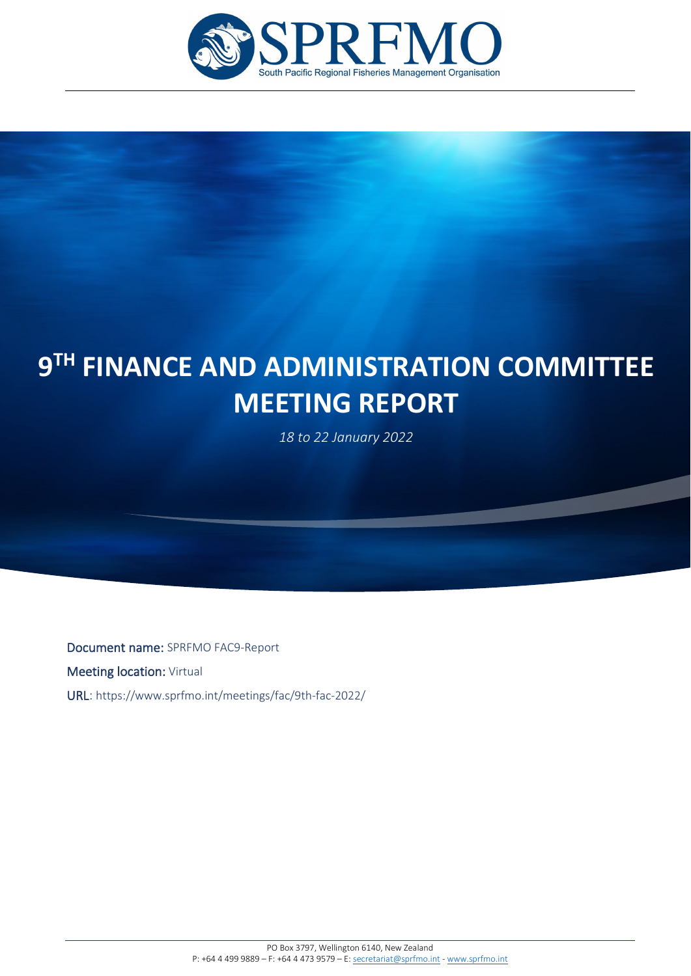

# F **9TH FINANCE AND ADMINISTRATION COMMITTEE MEETING REPORT**

*18 to 22 January 2022*

Document name: SPRFMO FAC9-Report **Meeting location: Virtual** URL: https://www.sprfmo.int/meetings/fac/9th-fac-2022/

í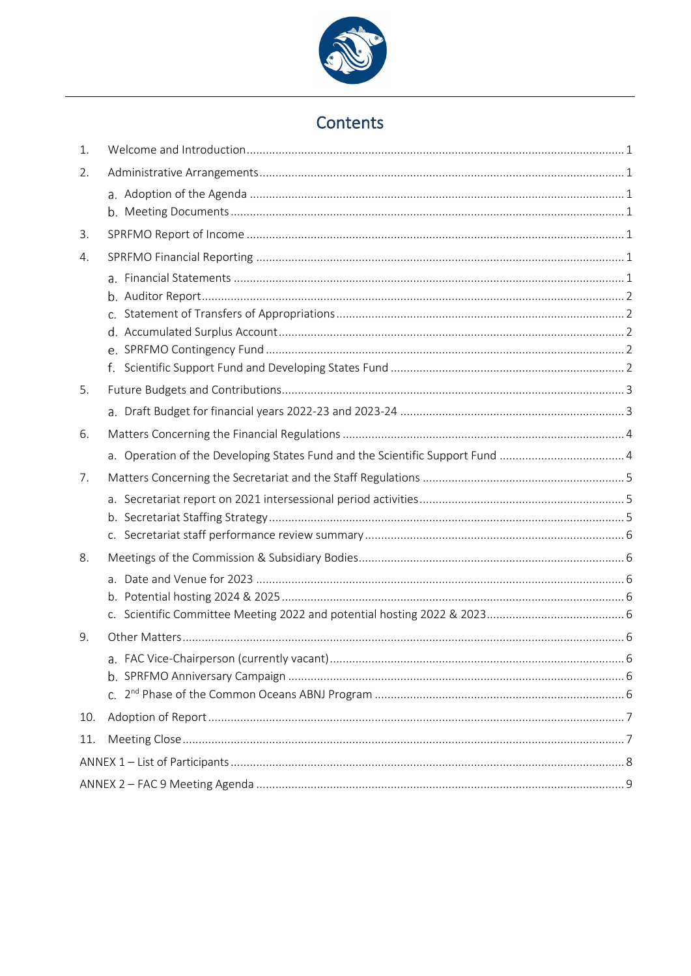

# Contents

| 1.  |                                                                              |  |
|-----|------------------------------------------------------------------------------|--|
| 2.  |                                                                              |  |
|     |                                                                              |  |
|     |                                                                              |  |
| 3.  |                                                                              |  |
| 4.  |                                                                              |  |
|     |                                                                              |  |
|     |                                                                              |  |
|     |                                                                              |  |
|     |                                                                              |  |
|     |                                                                              |  |
| 5.  |                                                                              |  |
|     |                                                                              |  |
| 6.  |                                                                              |  |
|     | a. Operation of the Developing States Fund and the Scientific Support Fund 4 |  |
| 7.  |                                                                              |  |
|     |                                                                              |  |
|     |                                                                              |  |
|     |                                                                              |  |
| 8.  |                                                                              |  |
|     |                                                                              |  |
|     |                                                                              |  |
|     |                                                                              |  |
| 9.  |                                                                              |  |
|     |                                                                              |  |
|     |                                                                              |  |
|     |                                                                              |  |
| 10. |                                                                              |  |
| 11. |                                                                              |  |
|     |                                                                              |  |
|     |                                                                              |  |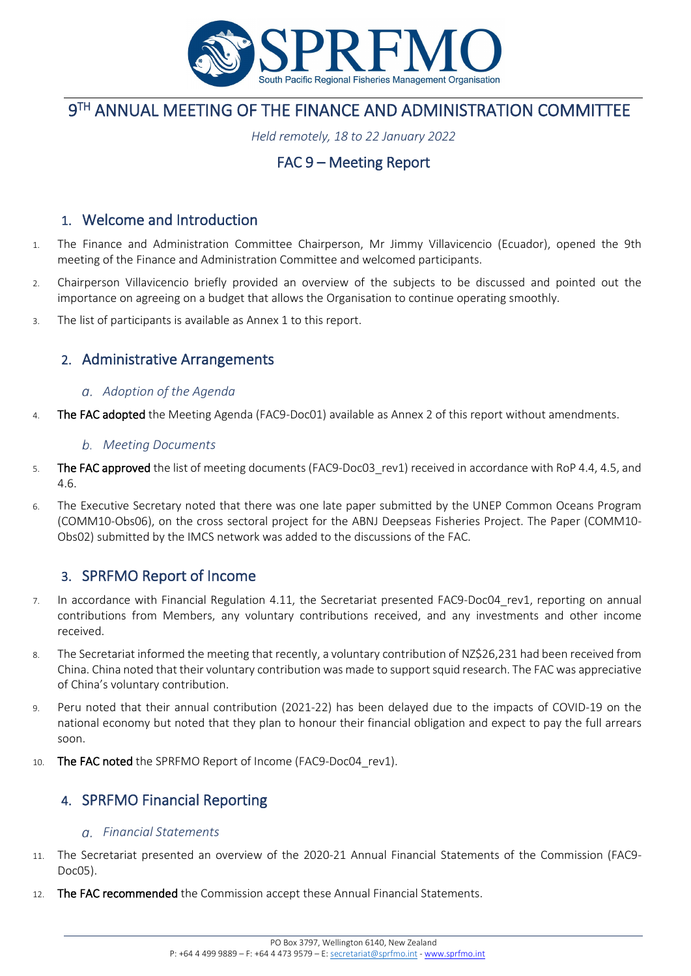

# **9TH ANNUAL MEETING OF THE FINANCE AND ADMINISTRATION COMMITTEE**

*Held remotely, 18 to 22 January 2022* 

# FAC 9 – Meeting Report

## <span id="page-4-0"></span>1. Welcome and Introduction

- 1. The Finance and Administration Committee Chairperson, Mr Jimmy Villavicencio (Ecuador), opened the 9th meeting of the Finance and Administration Committee and welcomed participants.
- 2. Chairperson Villavicencio briefly provided an overview of the subjects to be discussed and pointed out the importance on agreeing on a budget that allows the Organisation to continue operating smoothly.
- 3. The list of participants is available as Annex 1 to this report.

## <span id="page-4-1"></span>2. Administrative Arrangements

#### <span id="page-4-2"></span>*Adoption of the Agenda*

4. The FAC adopted the Meeting Agenda (FAC9-Doc01) available as Annex 2 of this report without amendments.

#### <span id="page-4-3"></span>*Meeting Documents*

- 5. The FAC approved the list of meeting documents (FAC9-Doc03 rev1) received in accordance with RoP 4.4, 4.5, and 4.6.
- 6. The Executive Secretary noted that there was one late paper submitted by the UNEP Common Oceans Program (COMM10-Obs06), on the cross sectoral project for the ABNJ Deepseas Fisheries Project. The Paper (COMM10- Obs02) submitted by the IMCS network was added to the discussions of the FAC.

## <span id="page-4-4"></span>3. SPRFMO Report of Income

- 7. In accordance with Financial Regulation 4.11, the Secretariat presented FAC9-Doc04\_rev1, reporting on annual contributions from Members, any voluntary contributions received, and any investments and other income received.
- 8. The Secretariat informed the meeting that recently, a voluntary contribution of NZ\$26,231 had been received from China. China noted that their voluntary contribution was made to support squid research. The FAC was appreciative of China's voluntary contribution.
- 9. Peru noted that their annual contribution (2021-22) has been delayed due to the impacts of COVID-19 on the national economy but noted that they plan to honour their financial obligation and expect to pay the full arrears soon.
- 10. The FAC noted the SPRFMO Report of Income (FAC9-Doc04 rev1).

## <span id="page-4-5"></span>4. SPRFMO Financial Reporting

#### <span id="page-4-6"></span>*Financial Statements*

- 11. The Secretariat presented an overview of the 2020-21 Annual Financial Statements of the Commission (FAC9- Doc05).
- 12. The FAC recommended the Commission accept these Annual Financial Statements.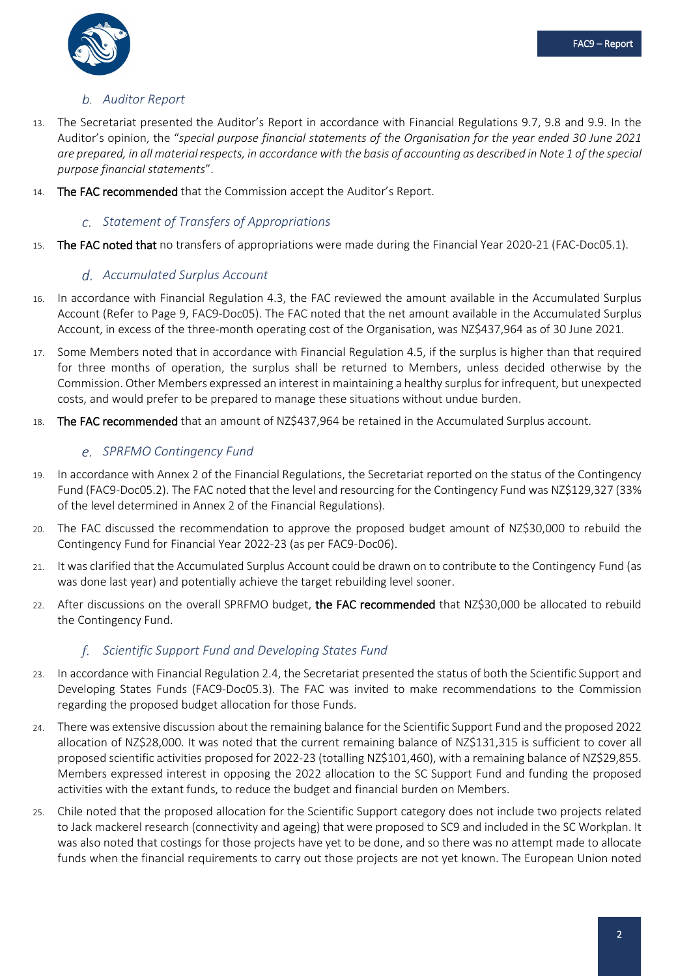

### <span id="page-5-0"></span>*Auditor Report*

- 13. The Secretariat presented the Auditor's Report in accordance with Financial Regulations 9.7, 9.8 and 9.9. In the Auditor's opinion, the "*special purpose financial statements of the Organisation for the year ended 30 June 2021 are prepared, in all material respects, in accordance with the basis of accounting as described in Note 1 of the special purpose financial statements*".
- 14. The FAC recommended that the Commission accept the Auditor's Report.

#### <span id="page-5-1"></span>*Statement of Transfers of Appropriations*

15. The FAC noted that no transfers of appropriations were made during the Financial Year 2020-21 (FAC-Doc05.1).

#### <span id="page-5-2"></span>*Accumulated Surplus Account*

- 16. In accordance with Financial Regulation 4.3, the FAC reviewed the amount available in the Accumulated Surplus Account (Refer to Page 9, FAC9-Doc05). The FAC noted that the net amount available in the Accumulated Surplus Account, in excess of the three-month operating cost of the Organisation, was NZ\$437,964 as of 30 June 2021.
- 17. Some Members noted that in accordance with Financial Regulation 4.5, if the surplus is higher than that required for three months of operation, the surplus shall be returned to Members, unless decided otherwise by the Commission. Other Members expressed an interest in maintaining a healthy surplus for infrequent, but unexpected costs, and would prefer to be prepared to manage these situations without undue burden.
- 18. The FAC recommended that an amount of NZ\$437,964 be retained in the Accumulated Surplus account.

#### <span id="page-5-3"></span>*SPRFMO Contingency Fund*

- 19. In accordance with Annex 2 of the Financial Regulations, the Secretariat reported on the status of the Contingency Fund (FAC9-Doc05.2). The FAC noted that the level and resourcing for the Contingency Fund was NZ\$129,327 (33% of the level determined in Annex 2 of the Financial Regulations).
- 20. The FAC discussed the recommendation to approve the proposed budget amount of NZ\$30,000 to rebuild the Contingency Fund for Financial Year 2022-23 (as per FAC9-Doc06).
- 21. It was clarified that the Accumulated Surplus Account could be drawn on to contribute to the Contingency Fund (as was done last year) and potentially achieve the target rebuilding level sooner.
- 22. After discussions on the overall SPRFMO budget, the FAC recommended that NZ\$30,000 be allocated to rebuild the Contingency Fund.

### <span id="page-5-4"></span>*Scientific Support Fund and Developing States Fund*

- 23. In accordance with Financial Regulation 2.4, the Secretariat presented the status of both the Scientific Support and Developing States Funds (FAC9-Doc05.3). The FAC was invited to make recommendations to the Commission regarding the proposed budget allocation for those Funds.
- 24. There was extensive discussion about the remaining balance for the Scientific Support Fund and the proposed 2022 allocation of NZ\$28,000. It was noted that the current remaining balance of NZ\$131,315 is sufficient to cover all proposed scientific activities proposed for 2022-23 (totalling NZ\$101,460), with a remaining balance of NZ\$29,855. Members expressed interest in opposing the 2022 allocation to the SC Support Fund and funding the proposed activities with the extant funds, to reduce the budget and financial burden on Members.
- 25. Chile noted that the proposed allocation for the Scientific Support category does not include two projects related to Jack mackerel research (connectivity and ageing) that were proposed to SC9 and included in the SC Workplan. It was also noted that costings for those projects have yet to be done, and so there was no attempt made to allocate funds when the financial requirements to carry out those projects are not yet known. The European Union noted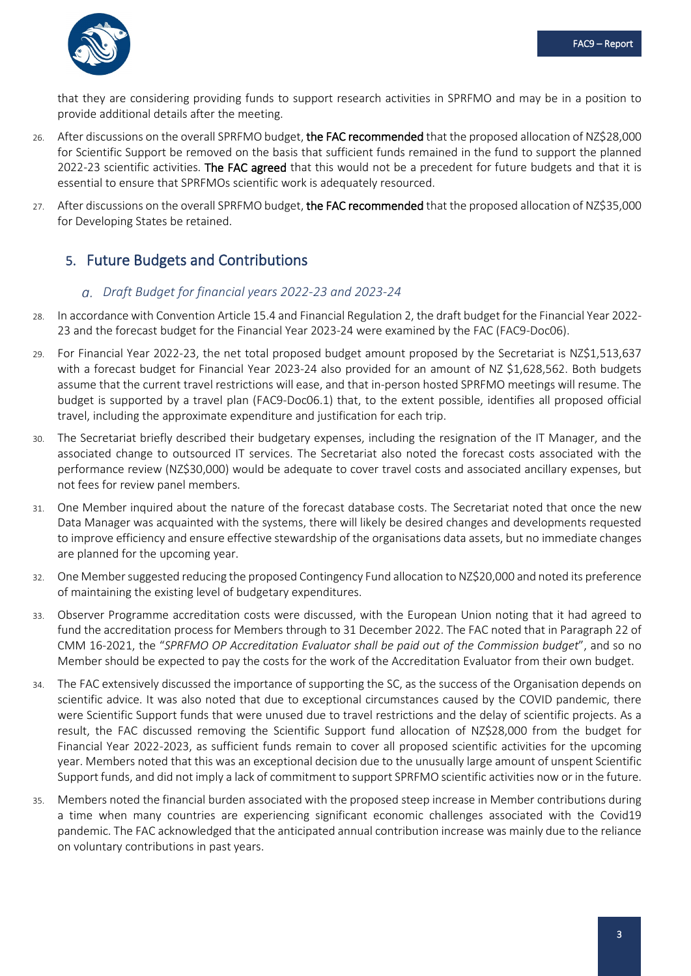

that they are considering providing funds to support research activities in SPRFMO and may be in a position to provide additional details after the meeting.

- 26. After discussions on the overall SPRFMO budget, the FAC recommended that the proposed allocation of NZ\$28,000 for Scientific Support be removed on the basis that sufficient funds remained in the fund to support the planned 2022-23 scientific activities. The FAC agreed that this would not be a precedent for future budgets and that it is essential to ensure that SPRFMOs scientific work is adequately resourced.
- 27. After discussions on the overall SPRFMO budget, the FAC recommended that the proposed allocation of NZ\$35,000 for Developing States be retained.

# <span id="page-6-0"></span>5. Future Budgets and Contributions

#### <span id="page-6-1"></span>*Draft Budget for financial years 2022-23 and 2023-24*

- 28. In accordance with Convention Article 15.4 and Financial Regulation 2, the draft budget for the Financial Year 2022- 23 and the forecast budget for the Financial Year 2023-24 were examined by the FAC (FAC9-Doc06).
- 29. For Financial Year 2022-23, the net total proposed budget amount proposed by the Secretariat is NZ\$1,513,637 with a forecast budget for Financial Year 2023-24 also provided for an amount of NZ \$1,628,562. Both budgets assume that the current travel restrictions will ease, and that in-person hosted SPRFMO meetings will resume. The budget is supported by a travel plan (FAC9-Doc06.1) that, to the extent possible, identifies all proposed official travel, including the approximate expenditure and justification for each trip.
- 30. The Secretariat briefly described their budgetary expenses, including the resignation of the IT Manager, and the associated change to outsourced IT services. The Secretariat also noted the forecast costs associated with the performance review (NZ\$30,000) would be adequate to cover travel costs and associated ancillary expenses, but not fees for review panel members.
- 31. One Member inquired about the nature of the forecast database costs. The Secretariat noted that once the new Data Manager was acquainted with the systems, there will likely be desired changes and developments requested to improve efficiency and ensure effective stewardship of the organisations data assets, but no immediate changes are planned for the upcoming year.
- 32. One Member suggested reducing the proposed Contingency Fund allocation to NZ\$20,000 and noted its preference of maintaining the existing level of budgetary expenditures.
- 33. Observer Programme accreditation costs were discussed, with the European Union noting that it had agreed to fund the accreditation process for Members through to 31 December 2022. The FAC noted that in Paragraph 22 of CMM 16-2021, the "*SPRFMO OP Accreditation Evaluator shall be paid out of the Commission budget*", and so no Member should be expected to pay the costs for the work of the Accreditation Evaluator from their own budget.
- 34. The FAC extensively discussed the importance of supporting the SC, as the success of the Organisation depends on scientific advice. It was also noted that due to exceptional circumstances caused by the COVID pandemic, there were Scientific Support funds that were unused due to travel restrictions and the delay of scientific projects. As a result, the FAC discussed removing the Scientific Support fund allocation of NZ\$28,000 from the budget for Financial Year 2022-2023, as sufficient funds remain to cover all proposed scientific activities for the upcoming year. Members noted that this was an exceptional decision due to the unusually large amount of unspent Scientific Support funds, and did not imply a lack of commitment to support SPRFMO scientific activities now or in the future.
- 35. Members noted the financial burden associated with the proposed steep increase in Member contributions during a time when many countries are experiencing significant economic challenges associated with the Covid19 pandemic. The FAC acknowledged that the anticipated annual contribution increase was mainly due to the reliance on voluntary contributions in past years.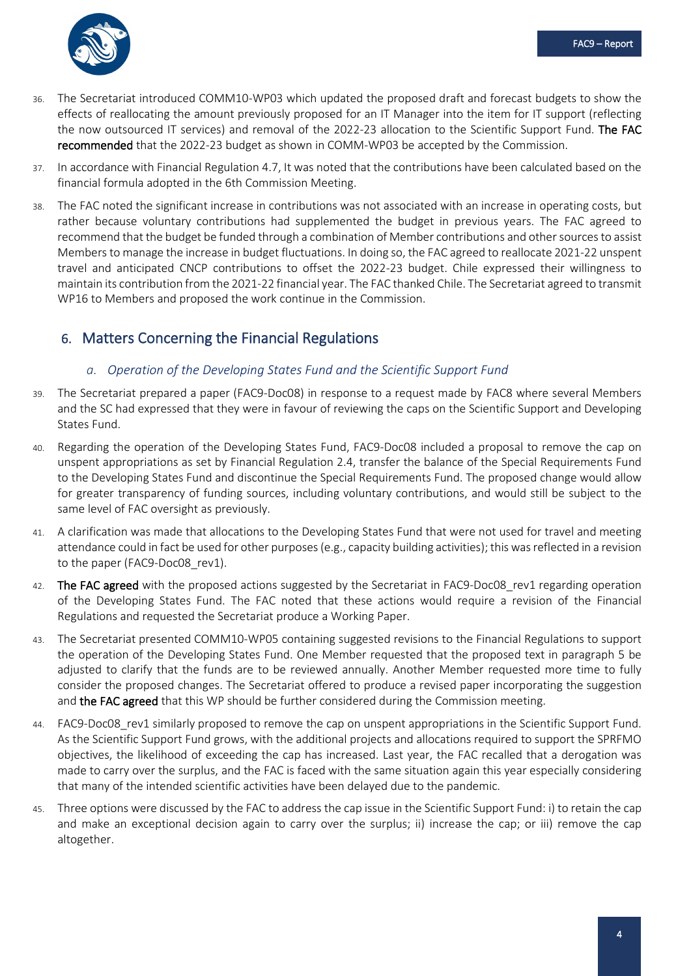

- 36. The Secretariat introduced COMM10-WP03 which updated the proposed draft and forecast budgets to show the effects of reallocating the amount previously proposed for an IT Manager into the item for IT support (reflecting the now outsourced IT services) and removal of the 2022-23 allocation to the Scientific Support Fund. The FAC recommended that the 2022-23 budget as shown in COMM-WP03 be accepted by the Commission.
- 37. In accordance with Financial Regulation 4.7, It was noted that the contributions have been calculated based on the financial formula adopted in the 6th Commission Meeting.
- 38. The FAC noted the significant increase in contributions was not associated with an increase in operating costs, but rather because voluntary contributions had supplemented the budget in previous years. The FAC agreed to recommend that the budget be funded through a combination of Member contributions and other sources to assist Members to manage the increase in budget fluctuations. In doing so, the FAC agreed to reallocate 2021-22 unspent travel and anticipated CNCP contributions to offset the 2022-23 budget. Chile expressed their willingness to maintain its contribution from the 2021-22 financial year. The FAC thanked Chile. The Secretariat agreed to transmit WP16 to Members and proposed the work continue in the Commission.

# <span id="page-7-0"></span>6. Matters Concerning the Financial Regulations

### <span id="page-7-1"></span>*a. Operation of the Developing States Fund and the Scientific Support Fund*

- 39. The Secretariat prepared a paper (FAC9-Doc08) in response to a request made by FAC8 where several Members and the SC had expressed that they were in favour of reviewing the caps on the Scientific Support and Developing States Fund.
- 40. Regarding the operation of the Developing States Fund, FAC9-Doc08 included a proposal to remove the cap on unspent appropriations as set by Financial Regulation 2.4, transfer the balance of the Special Requirements Fund to the Developing States Fund and discontinue the Special Requirements Fund. The proposed change would allow for greater transparency of funding sources, including voluntary contributions, and would still be subject to the same level of FAC oversight as previously.
- 41. A clarification was made that allocations to the Developing States Fund that were not used for travel and meeting attendance could in fact be used for other purposes (e.g., capacity building activities); this was reflected in a revision to the paper (FAC9-Doc08\_rev1).
- 42. The FAC agreed with the proposed actions suggested by the Secretariat in FAC9-Doc08\_rev1 regarding operation of the Developing States Fund. The FAC noted that these actions would require a revision of the Financial Regulations and requested the Secretariat produce a Working Paper.
- 43. The Secretariat presented COMM10-WP05 containing suggested revisions to the Financial Regulations to support the operation of the Developing States Fund. One Member requested that the proposed text in paragraph 5 be adjusted to clarify that the funds are to be reviewed annually. Another Member requested more time to fully consider the proposed changes. The Secretariat offered to produce a revised paper incorporating the suggestion and the FAC agreed that this WP should be further considered during the Commission meeting.
- 44. FAC9-Doc08 rev1 similarly proposed to remove the cap on unspent appropriations in the Scientific Support Fund. As the Scientific Support Fund grows, with the additional projects and allocations required to support the SPRFMO objectives, the likelihood of exceeding the cap has increased. Last year, the FAC recalled that a derogation was made to carry over the surplus, and the FAC is faced with the same situation again this year especially considering that many of the intended scientific activities have been delayed due to the pandemic.
- 45. Three options were discussed by the FAC to address the cap issue in the Scientific Support Fund: i) to retain the cap and make an exceptional decision again to carry over the surplus; ii) increase the cap; or iii) remove the cap altogether.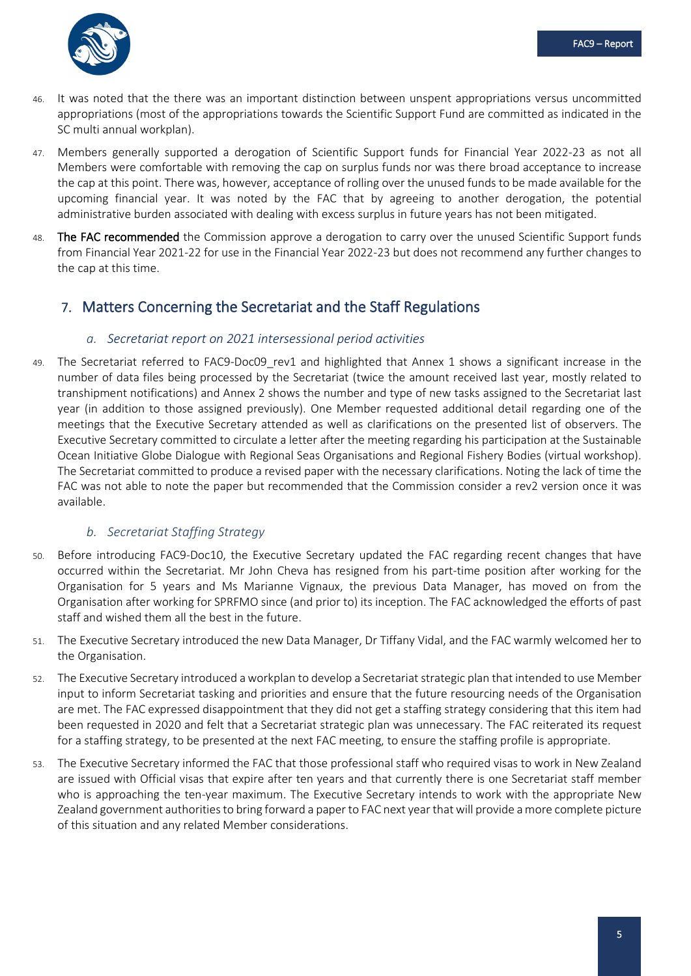

- 46. It was noted that the there was an important distinction between unspent appropriations versus uncommitted appropriations (most of the appropriations towards the Scientific Support Fund are committed as indicated in the SC multi annual workplan).
- 47. Members generally supported a derogation of Scientific Support funds for Financial Year 2022-23 as not all Members were comfortable with removing the cap on surplus funds nor was there broad acceptance to increase the cap at this point. There was, however, acceptance of rolling over the unused funds to be made available for the upcoming financial year. It was noted by the FAC that by agreeing to another derogation, the potential administrative burden associated with dealing with excess surplus in future years has not been mitigated.
- The FAC recommended the Commission approve a derogation to carry over the unused Scientific Support funds from Financial Year 2021-22 for use in the Financial Year 2022-23 but does not recommend any further changes to the cap at this time.

# <span id="page-8-1"></span><span id="page-8-0"></span>7. Matters Concerning the Secretariat and the Staff Regulations

#### *a. Secretariat report on 2021 intersessional period activities*

49. The Secretariat referred to FAC9-Doc09\_rev1 and highlighted that Annex 1 shows a significant increase in the number of data files being processed by the Secretariat (twice the amount received last year, mostly related to transhipment notifications) and Annex 2 shows the number and type of new tasks assigned to the Secretariat last year (in addition to those assigned previously). One Member requested additional detail regarding one of the meetings that the Executive Secretary attended as well as clarifications on the presented list of observers. The Executive Secretary committed to circulate a letter after the meeting regarding his participation at the Sustainable Ocean Initiative Globe Dialogue with Regional Seas Organisations and Regional Fishery Bodies (virtual workshop). The Secretariat committed to produce a revised paper with the necessary clarifications. Noting the lack of time the FAC was not able to note the paper but recommended that the Commission consider a rev2 version once it was available.

#### <span id="page-8-2"></span>*b. Secretariat Staffing Strategy*

- 50. Before introducing FAC9-Doc10, the Executive Secretary updated the FAC regarding recent changes that have occurred within the Secretariat. Mr John Cheva has resigned from his part-time position after working for the Organisation for 5 years and Ms Marianne Vignaux, the previous Data Manager, has moved on from the Organisation after working for SPRFMO since (and prior to) its inception. The FAC acknowledged the efforts of past staff and wished them all the best in the future.
- 51. The Executive Secretary introduced the new Data Manager, Dr Tiffany Vidal, and the FAC warmly welcomed her to the Organisation.
- 52. The Executive Secretary introduced a workplan to develop a Secretariat strategic plan that intended to use Member input to inform Secretariat tasking and priorities and ensure that the future resourcing needs of the Organisation are met. The FAC expressed disappointment that they did not get a staffing strategy considering that this item had been requested in 2020 and felt that a Secretariat strategic plan was unnecessary. The FAC reiterated its request for a staffing strategy, to be presented at the next FAC meeting, to ensure the staffing profile is appropriate.
- 53. The Executive Secretary informed the FAC that those professional staff who required visas to work in New Zealand are issued with Official visas that expire after ten years and that currently there is one Secretariat staff member who is approaching the ten-year maximum. The Executive Secretary intends to work with the appropriate New Zealand government authorities to bring forward a paper to FAC next year that will provide a more complete picture of this situation and any related Member considerations.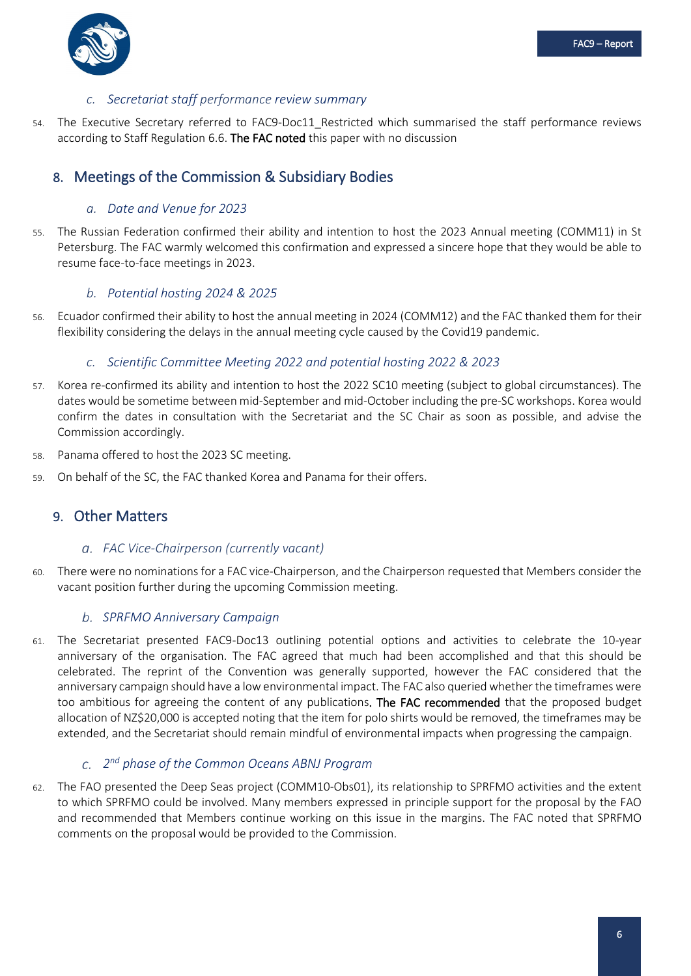

#### <span id="page-9-0"></span>*c. Secretariat staff performance review summary*

54. The Executive Secretary referred to FAC9-Doc11 Restricted which summarised the staff performance reviews according to Staff Regulation 6.6. The FAC noted this paper with no discussion

## <span id="page-9-1"></span>8. Meetings of the Commission & Subsidiary Bodies

#### <span id="page-9-2"></span>*a. Date and Venue for 2023*

55. The Russian Federation confirmed their ability and intention to host the 2023 Annual meeting (COMM11) in St Petersburg. The FAC warmly welcomed this confirmation and expressed a sincere hope that they would be able to resume face-to-face meetings in 2023.

#### <span id="page-9-3"></span>*b. Potential hosting 2024 & 2025*

56. Ecuador confirmed their ability to host the annual meeting in 2024 (COMM12) and the FAC thanked them for their flexibility considering the delays in the annual meeting cycle caused by the Covid19 pandemic.

#### <span id="page-9-4"></span>*c. Scientific Committee Meeting 2022 and potential hosting 2022 & 2023*

- 57. Korea re-confirmed its ability and intention to host the 2022 SC10 meeting (subject to global circumstances). The dates would be sometime between mid-September and mid-October including the pre-SC workshops. Korea would confirm the dates in consultation with the Secretariat and the SC Chair as soon as possible, and advise the Commission accordingly.
- 58. Panama offered to host the 2023 SC meeting.
- 59. On behalf of the SC, the FAC thanked Korea and Panama for their offers.

### <span id="page-9-5"></span>9. Other Matters

#### <span id="page-9-6"></span>*FAC Vice-Chairperson (currently vacant)*

60. There were no nominations for a FAC vice-Chairperson, and the Chairperson requested that Members consider the vacant position further during the upcoming Commission meeting.

#### <span id="page-9-7"></span>*SPRFMO Anniversary Campaign*

61. The Secretariat presented FAC9-Doc13 outlining potential options and activities to celebrate the 10-year anniversary of the organisation. The FAC agreed that much had been accomplished and that this should be celebrated. The reprint of the Convention was generally supported, however the FAC considered that the anniversary campaign should have a low environmental impact. The FAC also queried whether the timeframes were too ambitious for agreeing the content of any publications. The FAC recommended that the proposed budget allocation of NZ\$20,000 is accepted noting that the item for polo shirts would be removed, the timeframes may be extended, and the Secretariat should remain mindful of environmental impacts when progressing the campaign.

### <span id="page-9-8"></span>*2nd phase of the Common Oceans ABNJ Program*

62. The FAO presented the Deep Seas project (COMM10-Obs01), its relationship to SPRFMO activities and the extent to which SPRFMO could be involved. Many members expressed in principle support for the proposal by the FAO and recommended that Members continue working on this issue in the margins. The FAC noted that SPRFMO comments on the proposal would be provided to the Commission.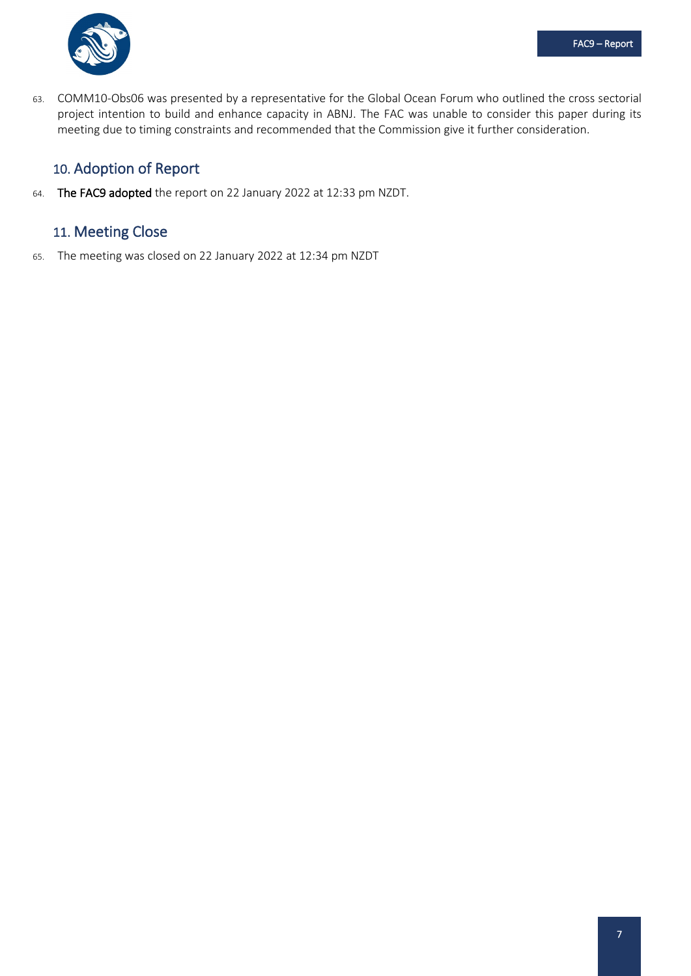

63. COMM10-Obs06 was presented by a representative for the Global Ocean Forum who outlined the cross sectorial project intention to build and enhance capacity in ABNJ. The FAC was unable to consider this paper during its meeting due to timing constraints and recommended that the Commission give it further consideration.

# <span id="page-10-0"></span>10. Adoption of Report

64. The FAC9 adopted the report on 22 January 2022 at 12:33 pm NZDT.

# <span id="page-10-1"></span>11. Meeting Close

65. The meeting was closed on 22 January 2022 at 12:34 pm NZDT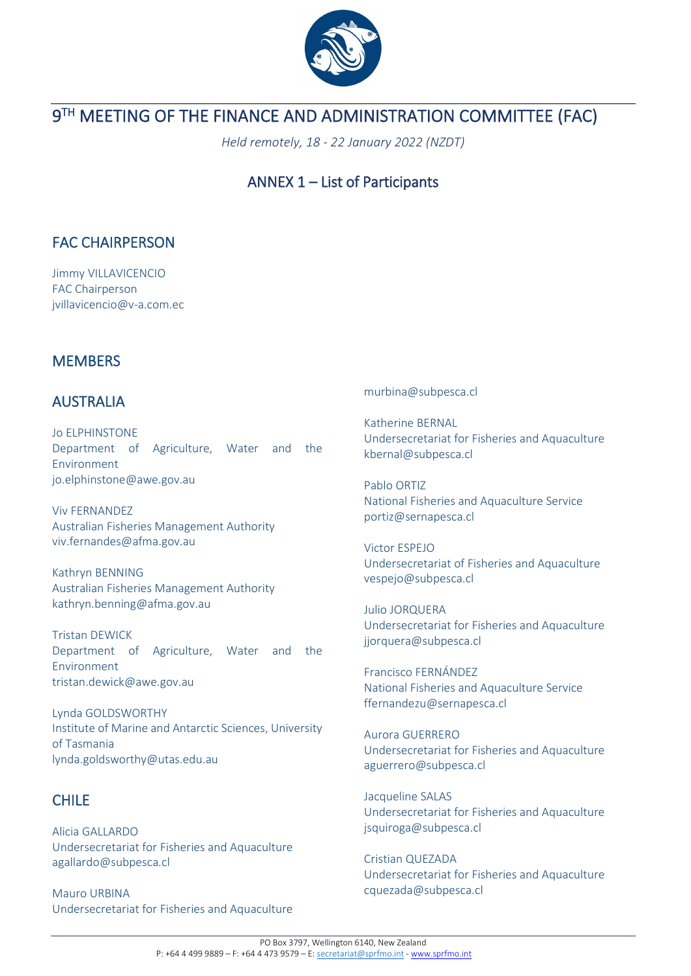

# <span id="page-11-0"></span>**9TH MEETING OF THE FINANCE AND ADMINISTRATION COMMITTEE (FAC)**

*Held remotely, 18 - 22 January 2022 (NZDT)*

# ANNEX 1 – List of Participants

# FAC CHAIRPERSON

Jimmy VILLAVICENCIO FAC Chairperson jvillavicencio@v-a.com.ec

# **MEMBERS**

# AUSTRALIA

Jo ELPHINSTONE Department of Agriculture, Water and the Environment jo.elphinstone@awe.gov.au

Viv FERNANDEZ Australian Fisheries Management Authority viv.fernandes@afma.gov.au

Kathryn BENNING Australian Fisheries Management Authority kathryn.benning@afma.gov.au

Tristan DEWICK Department of Agriculture, Water and the Environment tristan.dewick@awe.gov.au

Lynda GOLDSWORTHY Institute of Marine and Antarctic Sciences, University of Tasmania lynda.goldsworthy@utas.edu.au

# CHILE

Alicia GALLARDO Undersecretariat for Fisheries and Aquaculture agallardo@subpesca.cl

Mauro URBINA Undersecretariat for Fisheries and Aquaculture

#### murbina@subpesca.cl

Katherine BERNAL Undersecretariat for Fisheries and Aquaculture kbernal@subpesca.cl

Pablo ORTIZ National Fisheries and Aquaculture Service portiz@sernapesca.cl

Victor ESPEJO Undersecretariat of Fisheries and Aquaculture vespejo@subpesca.cl

Julio JORQUERA Undersecretariat for Fisheries and Aquaculture jjorquera@subpesca.cl

Francisco FERNÁNDEZ National Fisheries and Aquaculture Service ffernandezu@sernapesca.cl

Aurora GUERRERO Undersecretariat for Fisheries and Aquaculture aguerrero@subpesca.cl

Jacqueline SALAS Undersecretariat for Fisheries and Aquaculture jsquiroga@subpesca.cl

Cristian QUEZADA Undersecretariat for Fisheries and Aquaculture cquezada@subpesca.cl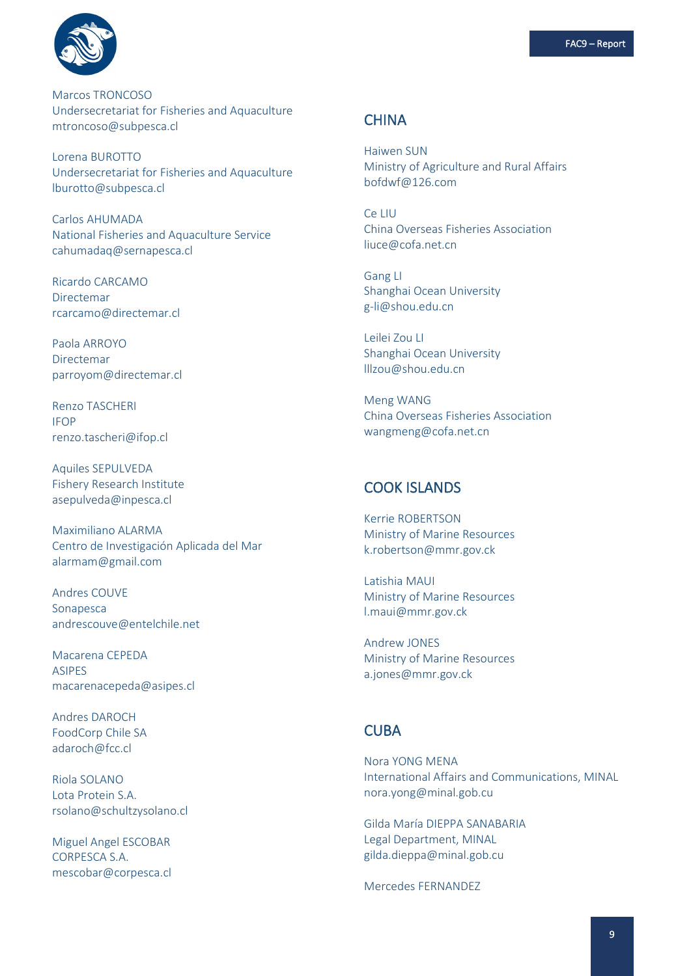

Marcos TRONCOSO Undersecretariat for Fisheries and Aquaculture mtroncoso@subpesca.cl

Lorena BUROTTO Undersecretariat for Fisheries and Aquaculture lburotto@subpesca.cl

Carlos AHUMADA National Fisheries and Aquaculture Service cahumadaq@sernapesca.cl

Ricardo CARCAMO Directemar rcarcamo@directemar.cl

Paola ARROYO Directemar parroyom@directemar.cl

Renzo TASCHERI IFOP renzo.tascheri@ifop.cl

Aquiles SEPULVEDA Fishery Research Institute asepulveda@inpesca.cl

Maximiliano ALARMA Centro de Investigación Aplicada del Mar alarmam@gmail.com

Andres COUVE Sonapesca andrescouve@entelchile.net

Macarena CEPEDA ASIPES macarenacepeda@asipes.cl

Andres DAROCH FoodCorp Chile SA adaroch@fcc.cl

Riola SOLANO Lota Protein S.A. rsolano@schultzysolano.cl

Miguel Angel ESCOBAR CORPESCA S.A. mescobar@corpesca.cl

### **CHINA**

Haiwen SUN Ministry of Agriculture and Rural Affairs bofdwf@126.com

Ce LIU China Overseas Fisheries Association liuce@cofa.net.cn

Gang LI Shanghai Ocean University g-li@shou.edu.cn

Leilei Zou LI Shanghai Ocean University lllzou@shou.edu.cn

Meng WANG China Overseas Fisheries Association wangmeng@cofa.net.cn

### COOK ISLANDS

Kerrie ROBERTSON Ministry of Marine Resources k.robertson@mmr.gov.ck

Latishia MAUI Ministry of Marine Resources l.maui@mmr.gov.ck

Andrew JONES Ministry of Marine Resources a.jones@mmr.gov.ck

## CUBA

Nora YONG MENA International Affairs and Communications, MINAL nora.yong@minal.gob.cu

Gilda María DIEPPA SANABARIA Legal Department, MINAL gilda.dieppa@minal.gob.cu

Mercedes FERNANDEZ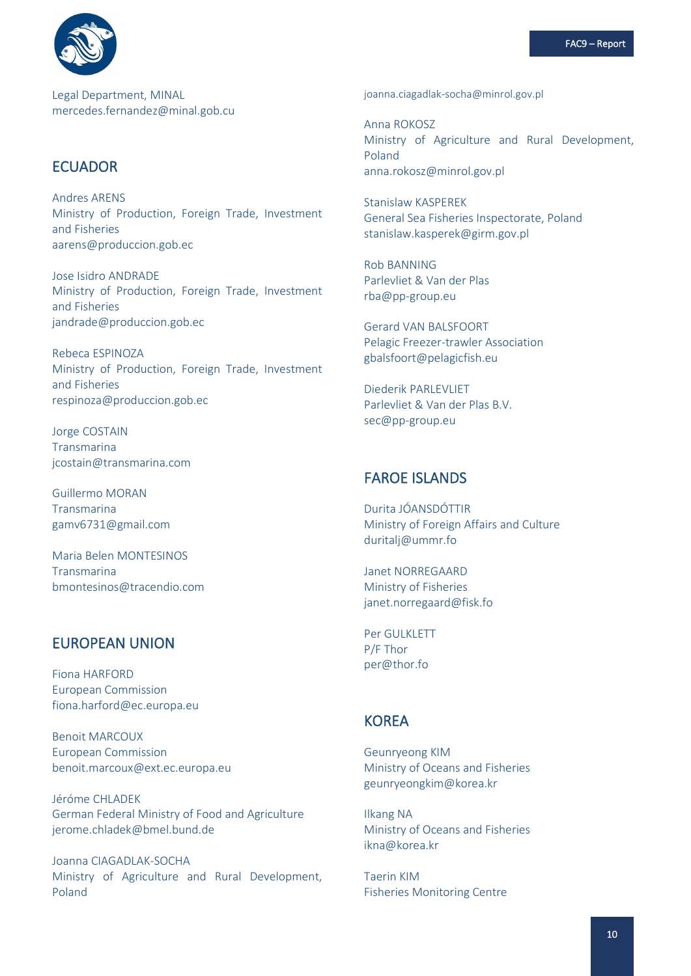

Legal Department, MINAL mercedes.fernandez@minal.gob.cu

### **ECUADOR**

**Andres ARENS** Ministry of Production, Foreign Trade, Investment and Fisheries aarens@produccion.gob.ec

Jose Isidro ANDRADE Ministry of Production, Foreign Trade, Investment and Fisheries jandrade@produccion.gob.ec

Rebeca ESPINOZA Ministry of Production, Foreign Trade, Investment and Fisheries respinoza@produccion.gob.ec

Jorge COSTAIN Transmarina icostain@transmarina.com

**Guillermo MORAN** Transmarina gamv6731@gmail.com

Maria Belen MONTESINOS Transmarina bmontesinos@tracendio.com

### **EUROPEAN UNION**

Fiona HARFORD **European Commission** fiona.harford@ec.europa.eu

**Benoit MARCOUX European Commission** benoit.marcoux@ext.ec.europa.eu

Jéróme CHLADEK German Federal Ministry of Food and Agriculture jerome.chladek@bmel.bund.de

Joanna CIAGADLAK-SOCHA Ministry of Agriculture and Rural Development, Poland

joanna.ciagadlak-socha@minrol.gov.pl

Anna ROKOSZ Ministry of Agriculture and Rural Development, Poland anna.rokosz@minrol.gov.pl

**Stanislaw KASPEREK** General Sea Fisheries Inspectorate, Poland stanislaw.kasperek@girm.gov.pl

**Rob BANNING** Parlevliet & Van der Plas  $rba@pp\text{-}group.eu$ 

**Gerard VAN BALSEOORT** Pelagic Freezer-trawler Association gbalsfoort@pelagicfish.eu

Diederik PARLEVLIET Parleyliet & Van der Plas B.V. sec@pp-group.eu

## **FAROE ISLANDS**

Durita JÓANSDÓTTIR Ministry of Foreign Affairs and Culture duritali@ummr.fo

**Janet NORREGAARD** Ministry of Fisheries janet.norregaard@fisk.fo

Per GULKLETT P/F Thor per@thor.fo

## **KOREA**

**Geunryeong KIM** Ministry of Oceans and Fisheries geunryeongkim@korea.kr

**Ilkang NA** Ministry of Oceans and Fisheries ikna@korea.kr

**Taerin KIM Fisheries Monitoring Centre**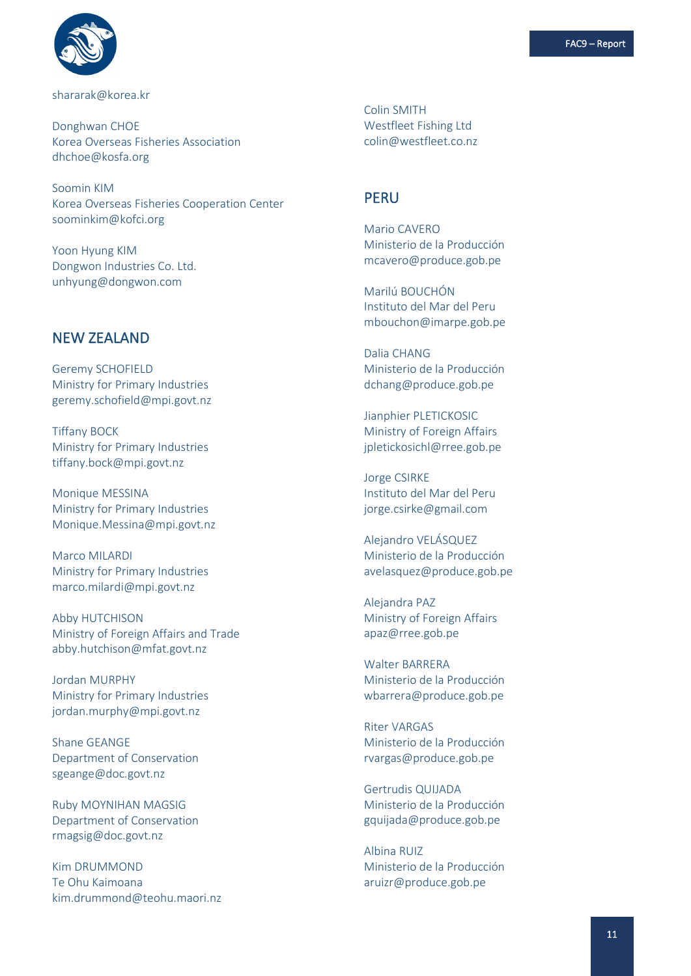

#### shararak@korea.kr

Donghwan CHOE Korea Overseas Fisheries Association dhchoe@kosfa.org

Soomin KIM Korea Overseas Fisheries Cooperation Center soominkim@kofci.org

Yoon Hyung KIM Dongwon Industries Co. Ltd. unhyung@dongwon.com

## NEW ZEALAND

Geremy SCHOFIELD Ministry for Primary Industries geremy.schofield@mpi.govt.nz

Tiffany BOCK Ministry for Primary Industries tiffany.bock@mpi.govt.nz

Monique MESSINA Ministry for Primary Industries Monique.Messina@mpi.govt.nz

Marco MILARDI Ministry for Primary Industries marco.milardi@mpi.govt.nz

Abby HUTCHISON Ministry of Foreign Affairs and Trade abby.hutchison@mfat.govt.nz

Jordan MURPHY Ministry for Primary Industries jordan.murphy@mpi.govt.nz

Shane GEANGE Department of Conservation sgeange@doc.govt.nz

Ruby MOYNIHAN MAGSIG Department of Conservation rmagsig@doc.govt.nz

Kim DRUMMOND Te Ohu Kaimoana kim.drummond@teohu.maori.nz Colin SMITH Westfleet Fishing Ltd colin@westfleet.co.nz

### PERU

Mario CAVERO Ministerio de la Producción mcavero@produce.gob.pe

Marilú BOUCHÓN Instituto del Mar del Peru mbouchon@imarpe.gob.pe

Dalia CHANG Ministerio de la Producción dchang@produce.gob.pe

Jianphier PLETICKOSIC Ministry of Foreign Affairs jpletickosichl@rree.gob.pe

Jorge CSIRKE Instituto del Mar del Peru jorge.csirke@gmail.com

Alejandro VELÁSQUEZ Ministerio de la Producción avelasquez@produce.gob.pe

Alejandra PAZ Ministry of Foreign Affairs apaz@rree.gob.pe

Walter BARRERA Ministerio de la Producción wbarrera@produce.gob.pe

Riter VARGAS Ministerio de la Producción rvargas@produce.gob.pe

Gertrudis QUIJADA Ministerio de la Producción gquijada@produce.gob.pe

Albina RUIZ Ministerio de la Producción aruizr@produce.gob.pe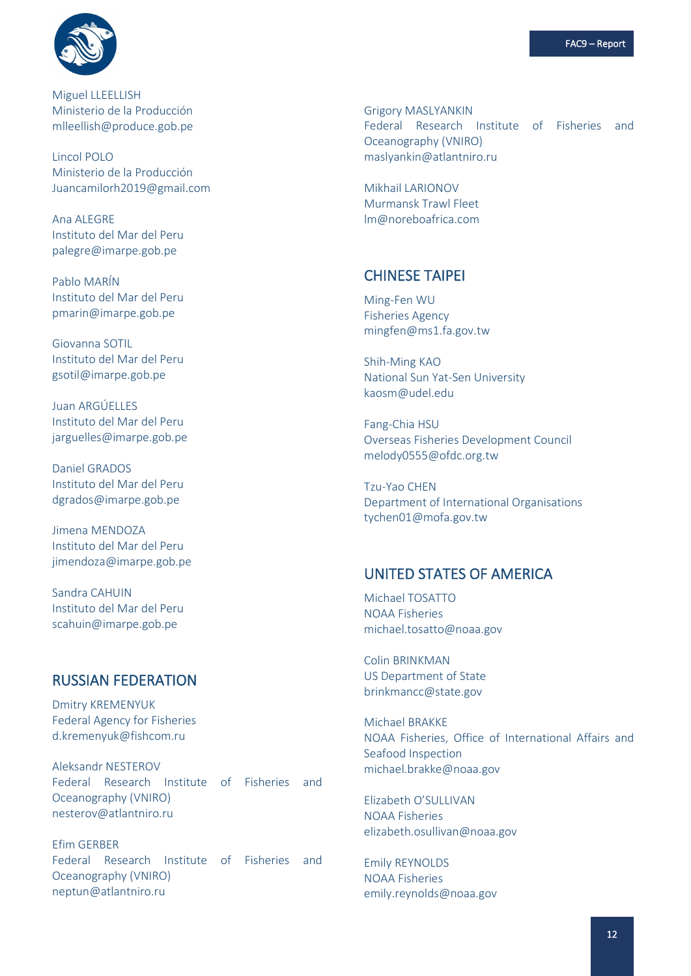

Miguel LLEELLISH Ministerio de la Producción mlleellish@produce.gob.pe

Lincol POLO Ministerio de la Producción Juancamilorh2019@gmail.com

Ana ALEGRE Instituto del Mar del Peru palegre@imarpe.gob.pe

Pablo MARÍN Instituto del Mar del Peru pmarin@imarpe.gob.pe

Giovanna SOTIL Instituto del Mar del Peru gsotil@imarpe.gob.pe

Juan ARGÚELLES Instituto del Mar del Peru jarguelles@imarpe.gob.pe

Daniel GRADOS Instituto del Mar del Peru dgrados@imarpe.gob.pe

Jimena MENDOZA Instituto del Mar del Peru jimendoza@imarpe.gob.pe

Sandra CAHUIN Instituto del Mar del Peru scahuin@imarpe.gob.pe

## RUSSIAN FEDERATION

Dmitry KREMENYUK Federal Agency for Fisheries d.kremenyuk@fishcom.ru

Aleksandr NESTEROV Federal Research Institute of Fisheries and Oceanography (VNIRO) nesterov@atlantniro.ru

Efim GERBER Federal Research Institute of Fisheries and Oceanography (VNIRO) neptun@atlantniro.ru

Grigory MASLYANKIN Federal Research Institute of Fisheries and Oceanography (VNIRO) maslyankin@atlantniro.ru

Mikhail LARIONOV Murmansk Trawl Fleet lm@noreboafrica.com

## CHINESE TAIPEI

Ming-Fen WU Fisheries Agency mingfen@ms1.fa.gov.tw

Shih-Ming KAO National Sun Yat-Sen University kaosm@udel.edu

Fang-Chia HSU Overseas Fisheries Development Council melody0555@ofdc.org.tw

Tzu-Yao CHEN Department of International Organisations tychen01@mofa.gov.tw

### UNITED STATES OF AMERICA

Michael TOSATTO NOAA Fisheries michael.tosatto@noaa.gov

Colin BRINKMAN US Department of State brinkmancc@state.gov

Michael BRAKKE NOAA Fisheries, Office of International Affairs and Seafood Inspection michael.brakke@noaa.gov

Elizabeth O'SULLIVAN NOAA Fisheries elizabeth.osullivan@noaa.gov

Emily REYNOLDS NOAA Fisheries emily.reynolds@noaa.gov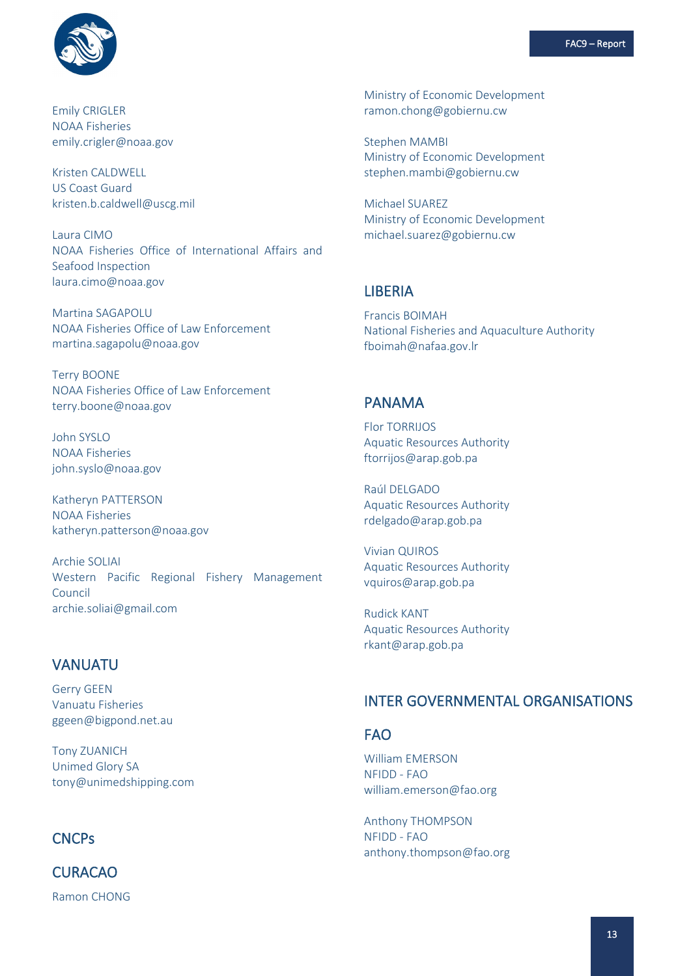

Emily CRIGLER NOAA Fisheries emily.crigler@noaa.gov

Kristen CALDWELL US Coast Guard kristen.b.caldwell@uscg.mil

Laura CIMO NOAA Fisheries Office of International Affairs and Seafood Inspection laura.cimo@noaa.gov

Martina SAGAPOLU NOAA Fisheries Office of Law Enforcement martina.sagapolu@noaa.gov

Terry BOONE NOAA Fisheries Office of Law Enforcement terry.boone@noaa.gov

John SYSLO NOAA Fisheries john.syslo@noaa.gov

Katheryn PATTERSON NOAA Fisheries katheryn.patterson@noaa.gov

Archie SOLIAI Western Pacific Regional Fishery Management Council archie.soliai@gmail.com

### VANUATU

Gerry GEEN Vanuatu Fisheries ggeen@bigpond.net.au

Tony ZUANICH Unimed Glory SA tony@unimedshipping.com

## **CNCPs**

CURACAO Ramon CHONG Ministry of Economic Development ramon.chong@gobiernu.cw

Stephen MAMBI Ministry of Economic Development stephen.mambi@gobiernu.cw

Michael SUAREZ Ministry of Economic Development michael.suarez@gobiernu.cw

### LIBERIA

Francis BOIMAH National Fisheries and Aquaculture Authority fboimah@nafaa.gov.lr

### PANAMA

Flor TORRIJOS Aquatic Resources Authority ftorrijos@arap.gob.pa

Raúl DELGADO Aquatic Resources Authority rdelgado@arap.gob.pa

Vivian QUIROS Aquatic Resources Authority vquiros@arap.gob.pa

Rudick KANT Aquatic Resources Authority rkant@arap.gob.pa

## INTER GOVERNMENTAL ORGANISATIONS

#### FAO

William EMERSON NFIDD - FAO william.emerson@fao.org

Anthony THOMPSON NFIDD - FAO anthony.thompson@fao.org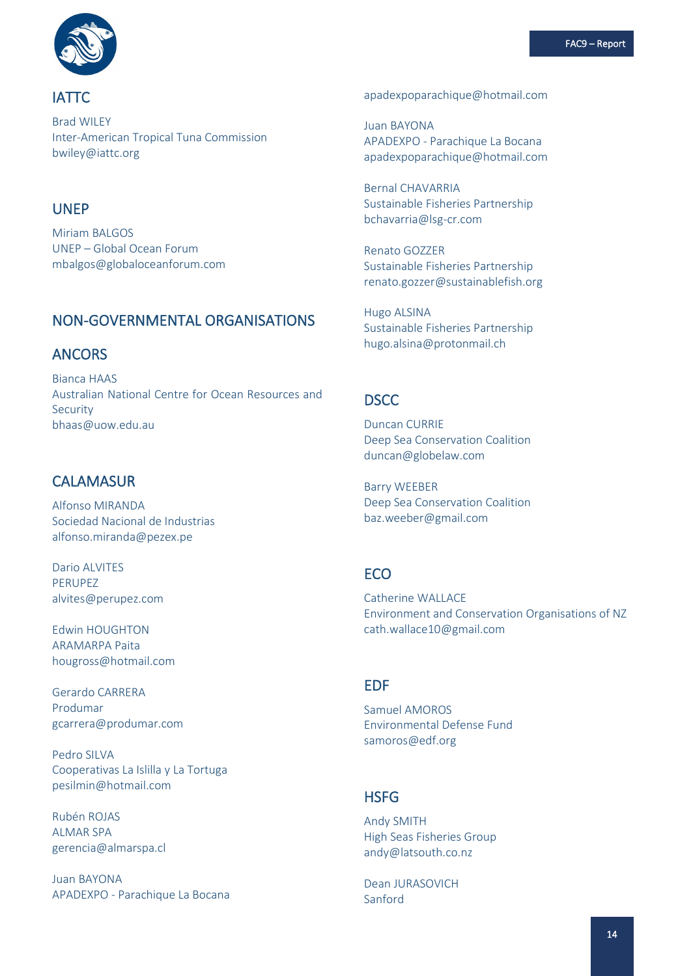

IATTC

Brad WILEY Inter-American Tropical Tuna Commission bwiley@iattc.org

# UNEP

Miriam BALGOS UNEP – Global Ocean Forum mbalgos@globaloceanforum.com

# NON-GOVERNMENTAL ORGANISATIONS

# ANCORS

Bianca HAAS Australian National Centre for Ocean Resources and Security bhaas@uow.edu.au

# **CALAMASUR**

Alfonso MIRANDA Sociedad Nacional de Industrias alfonso.miranda@pezex.pe

Dario ALVITES PERUPEZ alvites@perupez.com

Edwin HOUGHTON ARAMARPA Paita hougross@hotmail.com

Gerardo CARRERA Produmar gcarrera@produmar.com

Pedro SILVA Cooperativas La Islilla y La Tortuga pesilmin@hotmail.com

Rubén ROJAS ALMAR SPA gerencia@almarspa.cl

Juan BAYONA APADEXPO - Parachique La Bocana apadexpoparachique@hotmail.com

Juan BAYONA APADEXPO - Parachique La Bocana apadexpoparachique@hotmail.com

Bernal CHAVARRIA Sustainable Fisheries Partnership bchavarria@lsg-cr.com

Renato GOZZER Sustainable Fisheries Partnership renato.gozzer@sustainablefish.org

Hugo ALSINA Sustainable Fisheries Partnership hugo.alsina@protonmail.ch

## **DSCC**

Duncan CURRIE Deep Sea Conservation Coalition duncan@globelaw.com

Barry WEEBER Deep Sea Conservation Coalition baz.weeber@gmail.com

## **ECO**

Catherine WALLACE Environment and Conservation Organisations of NZ cath.wallace10@gmail.com

# EDF

Samuel AMOROS Environmental Defense Fund samoros@edf.org

# **HSFG**

Andy SMITH High Seas Fisheries Group andy@latsouth.co.nz

Dean JURASOVICH Sanford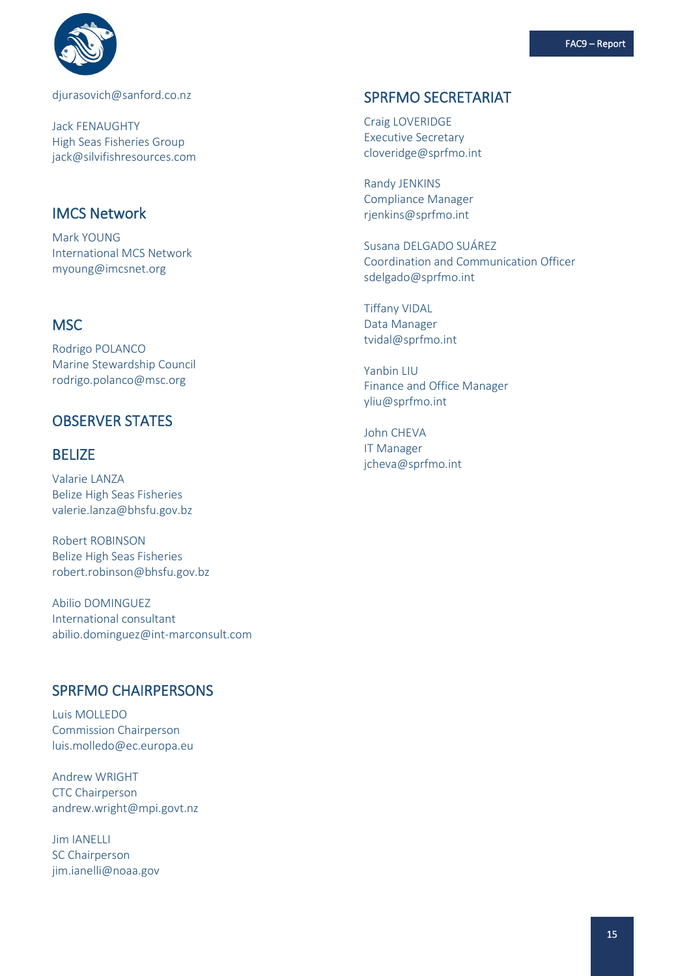

[djurasovich@sanford.co.nz](mailto:djurasovich@sanford.co.nz)

Jack FENAUGHTY High Seas Fisheries Group jack@silvifishresources.com

## IMCS Network

Mark YOUNG International MCS Network myoung@imcsnet.org

# **MSC**

Rodrigo POLANCO Marine Stewardship Council rodrigo.polanco@msc.org

# OBSERVER STATES

## BELIZE

Valarie LANZA Belize High Seas Fisheries valerie.lanza@bhsfu.gov.bz

Robert ROBINSON Belize High Seas Fisheries robert.robinson@bhsfu.gov.bz

Abilio DOMINGUEZ International consultant abilio.dominguez@int-marconsult.com

#### SPRFMO CHAIRPERSONS

Luis MOLLEDO Commission Chairperson luis.molledo@ec.europa.eu

Andrew WRIGHT CTC Chairperson andrew.wright@mpi.govt.nz

Jim IANELLI SC Chairperson jim.ianelli@noaa.gov

## SPRFMO SECRETARIAT

Craig LOVERIDGE Executive Secretary cloveridge@sprfmo.int

Randy JENKINS Compliance Manager rjenkins@sprfmo.int

Susana DELGADO SUÁREZ Coordination and Communication Officer sdelgado@sprfmo.int

Tiffany VIDAL Data Manager tvidal@sprfmo.int

Yanbin LIU Finance and Office Manager [yliu@sprfmo.int](mailto:yliu@sprfmo.int)

John CHEVA IT Manager [jcheva@sprfmo.int](mailto:jcheva@sprfmo.int)